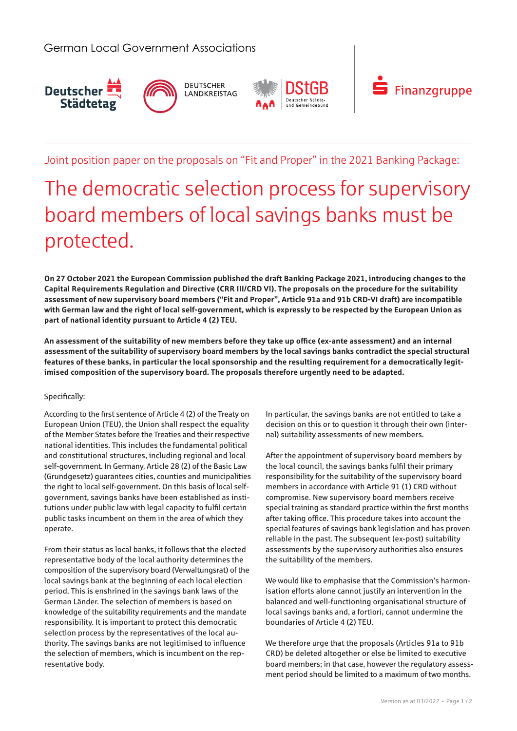



# Joint position paper on the proposals on "Fit and Proper" in the 2021 Banking Package:

# The democratic selection process for supervisory board members of local savings banks must be protected.

**On 27 October 2021 the European Commission published the draft Banking Package 2021, introducing changes to the Capital Requirements Regulation and Directive (CRR III/CRD VI). The proposals on the procedure for the suitability assessment of new supervisory board members ("Fit and Proper", Article 91a and 91b CRD-VI draft) are incompatible with German law and the right of local self-government, which is expressly to be respected by the European Union as part of national identity pursuant to Article 4 (2) TEU.**

**An assessment of the suitability of new members before they take up office (ex-ante assessment) and an internal assessment of the suitability of supervisory board members by the local savings banks contradict the special structural features of these banks, in particular the local sponsorship and the resulting requirement for a democratically legitimised composition of the supervisory board. The proposals therefore urgently need to be adapted.**

## Specifically:

According to the first sentence of Article 4 (2) of the Treaty on European Union (TEU), the Union shall respect the equality of the Member States before the Treaties and their respective national identities. This includes the fundamental political and constitutional structures, including regional and local self-government. In Germany, Article 28 (2) of the Basic Law (Grundgesetz) guarantees cities, counties and municipalities the right to local self-government. On this basis of local selfgovernment, savings banks have been established as institutions under public law with legal capacity to fulfil certain public tasks incumbent on them in the area of which they operate.

From their status as local banks, it follows that the elected representative body of the local authority determines the composition of the supervisory board (Verwaltungsrat) of the local savings bank at the beginning of each local election period. This is enshrined in the savings bank laws of the German Länder. The selection of members is based on knowledge of the suitability requirements and the mandate responsibility. It is important to protect this democratic selection process by the representatives of the local authority. The savings banks are not legitimised to influence the selection of members, which is incumbent on the representative body.

In particular, the savings banks are not entitled to take a decision on this or to question it through their own (internal) suitability assessments of new members.

After the appointment of supervisory board members by the local council, the savings banks fulfil their primary responsibility for the suitability of the supervisory board members in accordance with Article 91 (1) CRD without compromise. New supervisory board members receive special training as standard practice within the first months after taking office. This procedure takes into account the special features of savings bank legislation and has proven reliable in the past. The subsequent (ex-post) suitability assessments by the supervisory authorities also ensures the suitability of the members.

We would like to emphasise that the Commission's harmonisation efforts alone cannot justify an intervention in the balanced and well-functioning organisational structure of local savings banks and, a fortiori, cannot undermine the boundaries of Article 4 (2) TEU.

We therefore urge that the proposals (Articles 91a to 91b CRD) be deleted altogether or else be limited to executive board members; in that case, however the regulatory assessment period should be limited to a maximum of two months.